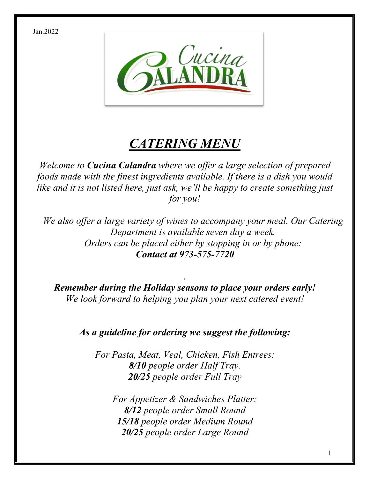Jan.2022



# *CATERING MENU*

*Welcome to Cucina Calandra where we offer a large selection of prepared foods made with the finest ingredients available. If there is a dish you would like and it is not listed here, just ask, we'll be happy to create something just for you!*

*We also offer a large variety of wines to accompany your meal. Our Catering Department is available seven day a week. Orders can be placed either by stopping in or by phone: Contact at 973-575-7720*

*Remember during the Holiday seasons to place your orders early! We look forward to helping you plan your next catered event!*

*.*

*As a guideline for ordering we suggest the following:*

*For Pasta, Meat, Veal, Chicken, Fish Entrees: 8/10 people order Half Tray. 20/25 people order Full Tray*

*For Appetizer & Sandwiches Platter: 8/12 people order Small Round 15/18 people order Medium Round 20/25 people order Large Round*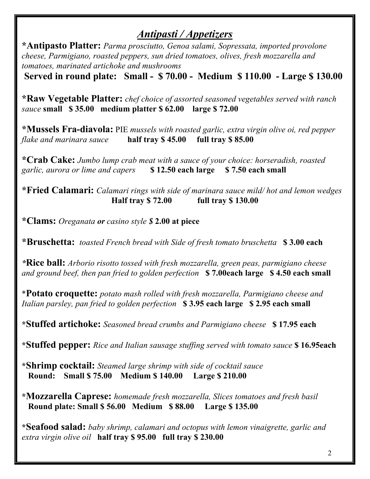### *Antipasti / Appetizers*

**\*Antipasto Platter:** *Parma prosciutto, Genoa salami, Sopressata, imported provolone cheese, Parmigiano, roasted peppers, sun dried tomatoes, olives, fresh mozzarella and tomatoes, marinated artichoke and mushrooms*

**Served in round plate: Small - \$ 70.00 - Medium \$ 110.00 - Large \$ 130.00**

**\*Raw Vegetable Platter:** *chef choice of assorted seasoned vegetables served with ranch sauce* **small \$ 35.00 medium platter \$ 62.00 large \$ 72.00**

**\*Mussels Fra-diavola:** PIE *mussels with roasted garlic, extra virgin olive oi, red pepper flake and marinara sauce* **half tray \$ 45.00 full tray \$ 85.00**

**\*Crab Cake:** *Jumbo lump crab meat with a sauce of your choice: horseradish, roasted garlic, aurora or lime and capers* **\$ 12.50 each large \$ 7.50 each small**

**\*Fried Calamari:** *Calamari rings with side of marinara sauce mild/ hot and lemon wedges* **Half tray \$ 72.00 full tray \$ 130.00**

**\*Clams:** *Oreganata or casino style \$* **2.00 at piece**

**\*Bruschetta:** *toasted French bread with Side of fresh tomato bruschetta* **\$ 3.00 each**

*\****Rice ball:** *Arborio risotto tossed with fresh mozzarella, green peas, parmigiano cheese and ground beef, then pan fried to golden perfection* **\$ 7.00each large \$ 4.50 each small**

\***Potato croquette:** *potato mash rolled with fresh mozzarella, Parmigiano cheese and Italian parsley, pan fried to golden perfection* **\$ 3.95 each large \$ 2.95 each small**

**\*Stuffed artichoke:** *Seasoned bread crumbs and Parmigiano cheese* **\$ 17.95 each**

**\*Stuffed pepper:** *Rice and Italian sausage stuffing served with tomato sauce* **\$ 16.95each**

**\*Shrimp cocktail:** *Steamed large shrimp with side of cocktail sauce*  **Round: Small \$ 75.00 Medium \$ 140.00 Large \$ 210.00**

**\*Mozzarella Caprese:** *homemade fresh mozzarella, Slices tomatoes and fresh basil*   **Round plate: Small \$ 56.00 Medium \$ 88.00 Large \$ 135.00**

**\*Seafood salad:** *baby shrimp, calamari and octopus with lemon vinaigrette, garlic and extra virgin olive oil* **half tray \$ 95.00 full tray \$ 230.00**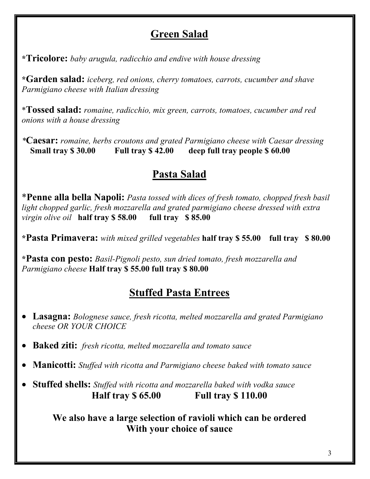### **Green Salad**

**\*Tricolore:** *baby arugula, radicchio and endive with house dressing*

**\*Garden salad:** *iceberg, red onions, cherry tomatoes, carrots, cucumber and shave Parmigiano cheese with Italian dressing* 

\***Tossed salad:** *romaine, radicchio, mix green, carrots, tomatoes, cucumber and red onions with a house dressing*

*\****Caesar:** *romaine, herbs croutons and grated Parmigiano cheese with Caesar dressing*  **Small tray \$ 30.00 Full tray \$ 42.00 deep full tray people \$ 60.00**

# **Pasta Salad**

\***Penne alla bella Napoli:** *Pasta tossed with dices of fresh tomato, chopped fresh basil light chopped garlic, fresh mozzarella and grated parmigiano cheese dressed with extra virgin olive oil* **half tray \$ 58.00 full tray \$ 85.00**

**\*Pasta Primavera:** *with mixed grilled vegetables* **half tray \$ 55.00 full tray \$ 80.00**

**\*Pasta con pesto:** *Basil-Pignoli pesto, sun dried tomato, fresh mozzarella and Parmigiano cheese* **Half tray \$ 55.00 full tray \$ 80.00**

# **Stuffed Pasta Entrees**

- **Lasagna:** *Bolognese sauce, fresh ricotta, melted mozzarella and grated Parmigiano cheese OR YOUR CHOICE*
- **Baked ziti:** *fresh ricotta, melted mozzarella and tomato sauce*
- **Manicotti:** *Stuffed with ricotta and Parmigiano cheese baked with tomato sauce*
- **Stuffed shells:** *Stuffed with ricotta and mozzarella baked with vodka sauce* **Half tray \$ 65.00 Full tray \$ 110.00**

**We also have a large selection of ravioli which can be ordered With your choice of sauce**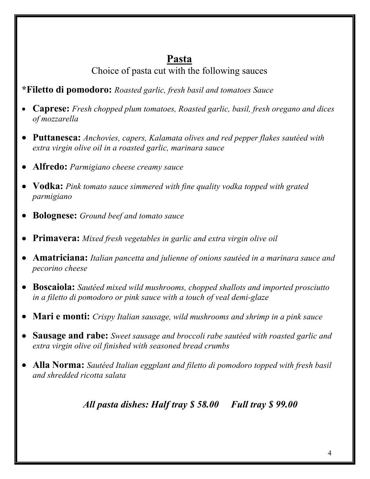### **Pasta**

Choice of pasta cut with the following sauces

#### **\*Filetto di pomodoro:** *Roasted garlic, fresh basil and tomatoes Sauce*

- **Caprese:** *Fresh chopped plum tomatoes, Roasted garlic, basil, fresh oregano and dices of mozzarella*
- **Puttanesca:** *Anchovies, capers, Kalamata olives and red pepper flakes sautéed with extra virgin olive oil in a roasted garlic, marinara sauce*
- **Alfredo:** *Parmigiano cheese creamy sauce*
- **Vodka:** *Pink tomato sauce simmered with fine quality vodka topped with grated parmigiano*
- **Bolognese:** *Ground beef and tomato sauce*
- **Primavera:** *Mixed fresh vegetables in garlic and extra virgin olive oil*
- **Amatriciana:** *Italian pancetta and julienne of onions sautéed in a marinara sauce and pecorino cheese*
- **Boscaiola:** *Sautéed mixed wild mushrooms, chopped shallots and imported prosciutto in a filetto di pomodoro or pink sauce with a touch of veal demi-glaze*
- **Mari e monti:** *Crispy Italian sausage, wild mushrooms and shrimp in a pink sauce*
- **Sausage and rabe:** *Sweet sausage and broccoli rabe sautéed with roasted garlic and extra virgin olive oil finished with seasoned bread crumbs*
- **Alla Norma:** *Sautéed Italian eggplant and filetto di pomodoro topped with fresh basil and shredded ricotta salata*

*All pasta dishes: Half tray \$ 58.00 Full tray \$ 99.00*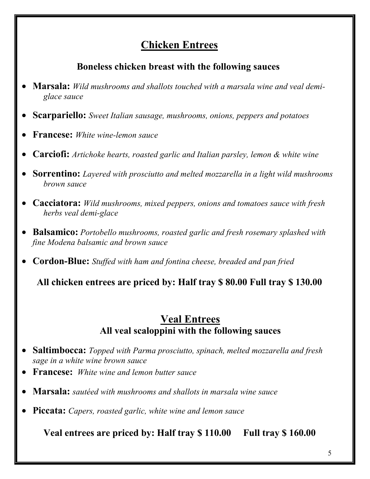## **Chicken Entrees**

#### **Boneless chicken breast with the following sauces**

- **Marsala:** *Wild mushrooms and shallots touched with a marsala wine and veal demiglace sauce*
- **Scarpariello:** *Sweet Italian sausage, mushrooms, onions, peppers and potatoes*
- **Francese:** *White wine-lemon sauce*
- **Carciofi:** *Artichoke hearts, roasted garlic and Italian parsley, lemon & white wine*
- **Sorrentino:** *Layered with prosciutto and melted mozzarella in a light wild mushrooms brown sauce*
- **Cacciatora:** *Wild mushrooms, mixed peppers, onions and tomatoes sauce with fresh herbs veal demi-glace*
- **Balsamico:** *Portobello mushrooms, roasted garlic and fresh rosemary splashed with fine Modena balsamic and brown sauce*
- **Cordon-Blue:** *Stuffed with ham and fontina cheese, breaded and pan fried*

**All chicken entrees are priced by: Half tray \$ 80.00 Full tray \$ 130.00**

#### **Veal Entrees All veal scaloppini with the following sauces**

- **Saltimbocca:** *Topped with Parma prosciutto, spinach, melted mozzarella and fresh sage in a white wine brown sauce*
- **Francese:** *White wine and lemon butter sauce*
- **Marsala:** *sautéed with mushrooms and shallots in marsala wine sauce*
- **Piccata:** *Capers, roasted garlic, white wine and lemon sauce*

**Veal entrees are priced by: Half tray \$ 110.00 Full tray \$ 160.00**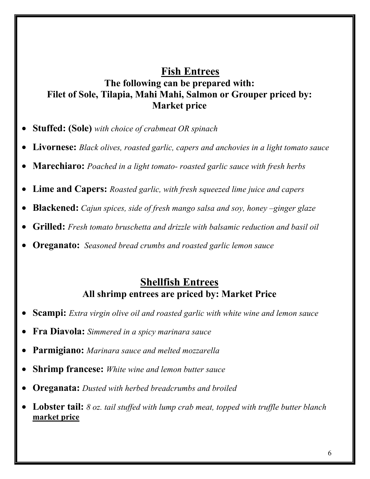#### **Fish Entrees The following can be prepared with: Filet of Sole, Tilapia, Mahi Mahi, Salmon or Grouper priced by: Market price**

- **Stuffed: (Sole)** *with choice of crabmeat OR spinach*
- **Livornese:** *Black olives, roasted garlic, capers and anchovies in a light tomato sauce*
- **Marechiaro:** *Poached in a light tomato- roasted garlic sauce with fresh herbs*
- **Lime and Capers:** *Roasted garlic, with fresh squeezed lime juice and capers*
- **Blackened:** *Cajun spices, side of fresh mango salsa and soy, honey –ginger glaze*
- **Grilled:** *Fresh tomato bruschetta and drizzle with balsamic reduction and basil oil*
- **Oreganato:** *Seasoned bread crumbs and roasted garlic lemon sauce*

#### **Shellfish Entrees All shrimp entrees are priced by: Market Price**

- **Scampi:** *Extra virgin olive oil and roasted garlic with white wine and lemon sauce*
- **Fra Diavola:** *Simmered in a spicy marinara sauce*
- **Parmigiano:** *Marinara sauce and melted mozzarella*
- **Shrimp francese:** *White wine and lemon butter sauce*
- **Oreganata:** *Dusted with herbed breadcrumbs and broiled*
- **Lobster tail:** *8 oz. tail stuffed with lump crab meat, topped with truffle butter blanch* **market price**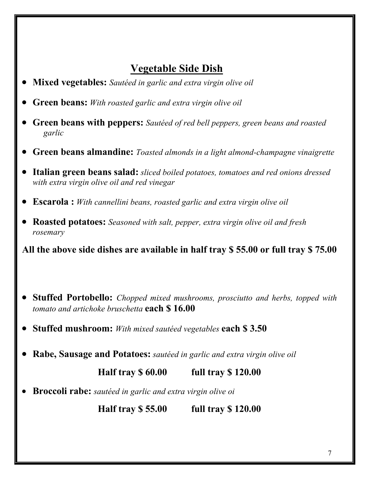# **Vegetable Side Dish**

- **Mixed vegetables:** *Sautéed in garlic and extra virgin olive oil*
- **Green beans:** *With roasted garlic and extra virgin olive oil*
- **Green beans with peppers:** *Sautéed of red bell peppers, green beans and roasted garlic*
- **Green beans almandine:** *Toasted almonds in a light almond-champagne vinaigrette*
- **Italian green beans salad:** *sliced boiled potatoes, tomatoes and red onions dressed with extra virgin olive oil and red vinegar*
- **Escarola :** *With cannellini beans, roasted garlic and extra virgin olive oil*
- **Roasted potatoes:** *Seasoned with salt, pepper, extra virgin olive oil and fresh rosemary*

**All the above side dishes are available in half tray \$ 55.00 or full tray \$ 75.00**

- **Stuffed Portobello:** *Chopped mixed mushrooms, prosciutto and herbs, topped with tomato and artichoke bruschetta* **each \$ 16.00**
- **Stuffed mushroom:** *With mixed sautéed vegetables* **each \$ 3.50**
- **Rabe, Sausage and Potatoes:** *sautéed in garlic and extra virgin olive oil*

**Half tray \$ 60.00 full tray \$ 120.00**

• **Broccoli rabe:** *sautéed in garlic and extra virgin olive oi*

**Half tray \$ 55.00 full tray \$ 120.00**